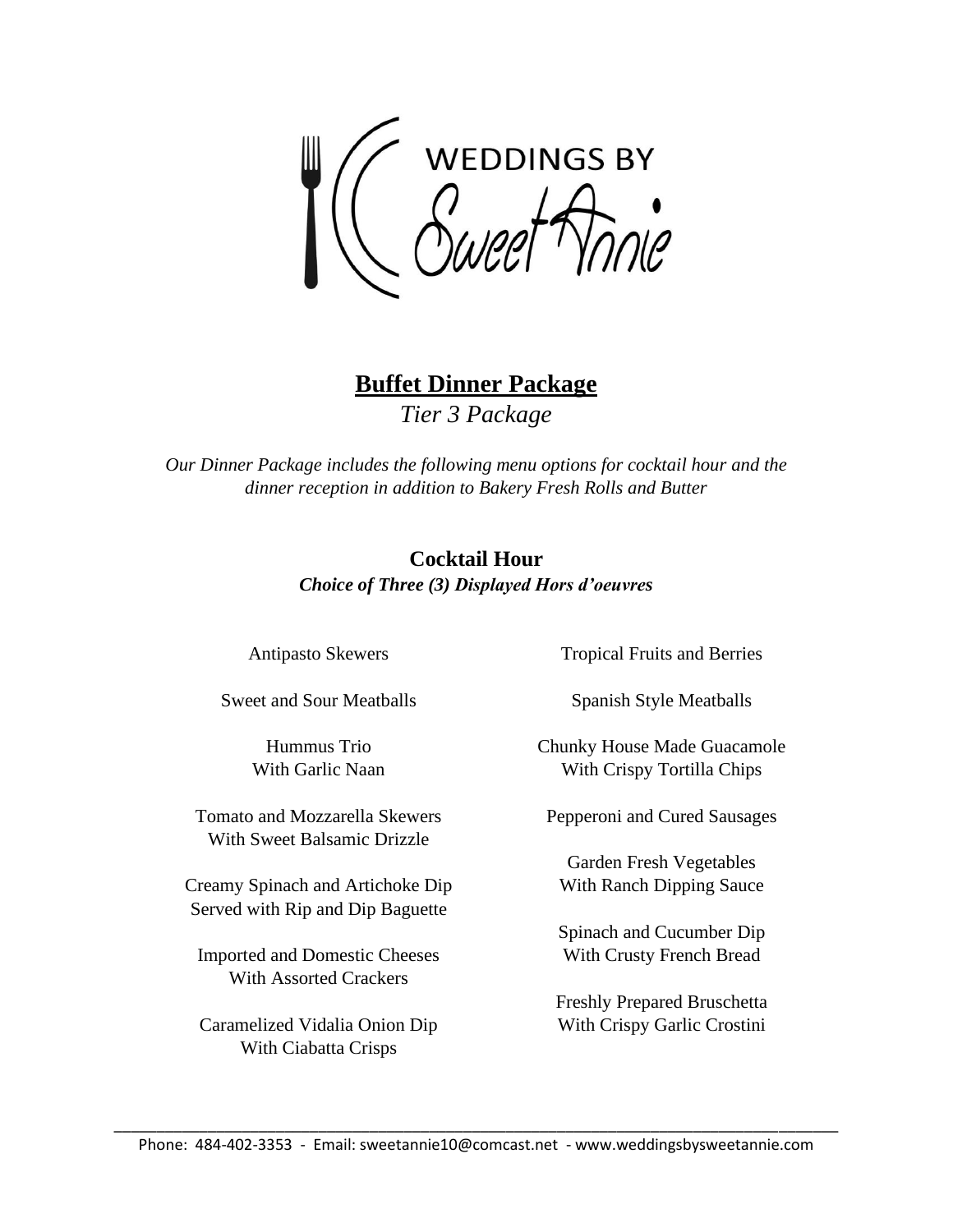**WEDDINGS BY** 

**Buffet Dinner Package** *Tier 3 Package*

*Our Dinner Package includes the following menu options for cocktail hour and the dinner reception in addition to Bakery Fresh Rolls and Butter*

## **Cocktail Hour** *Choice of Three (3) Displayed Hors d'oeuvres*

Antipasto Skewers

Sweet and Sour Meatballs

Hummus Trio With Garlic Naan

Tomato and Mozzarella Skewers With Sweet Balsamic Drizzle

Creamy Spinach and Artichoke Dip Served with Rip and Dip Baguette

Imported and Domestic Cheeses With Assorted Crackers

Caramelized Vidalia Onion Dip With Ciabatta Crisps

Tropical Fruits and Berries

Spanish Style Meatballs

Chunky House Made Guacamole With Crispy Tortilla Chips

Pepperoni and Cured Sausages

Garden Fresh Vegetables With Ranch Dipping Sauce

Spinach and Cucumber Dip With Crusty French Bread

Freshly Prepared Bruschetta With Crispy Garlic Crostini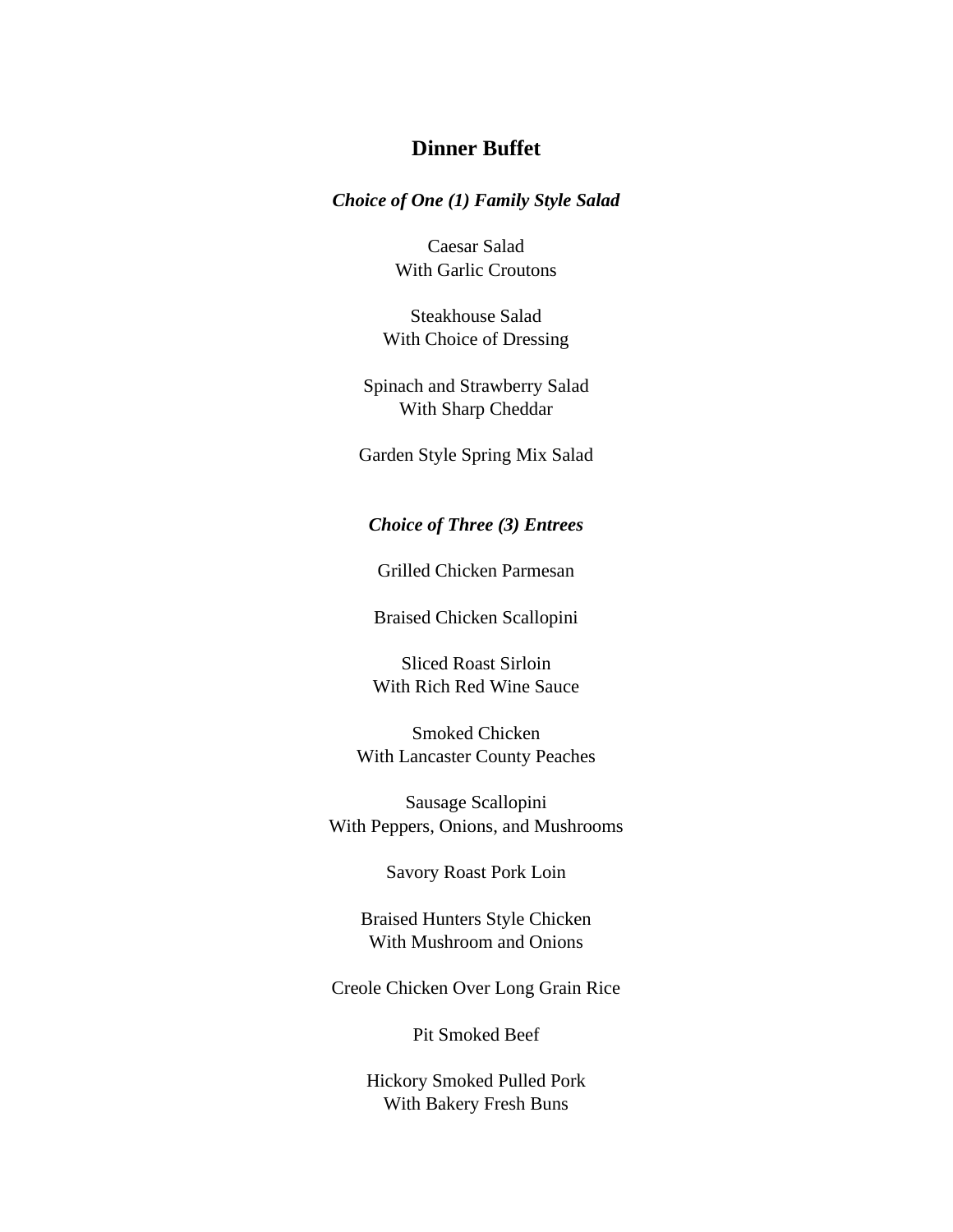## **Dinner Buffet**

*Choice of One (1) Family Style Salad*

Caesar Salad With Garlic Croutons

Steakhouse Salad With Choice of Dressing

Spinach and Strawberry Salad With Sharp Cheddar

Garden Style Spring Mix Salad

### *Choice of Three (3) Entrees*

Grilled Chicken Parmesan

Braised Chicken Scallopini

Sliced Roast Sirloin With Rich Red Wine Sauce

Smoked Chicken With Lancaster County Peaches

Sausage Scallopini With Peppers, Onions, and Mushrooms

Savory Roast Pork Loin

Braised Hunters Style Chicken With Mushroom and Onions

Creole Chicken Over Long Grain Rice

Pit Smoked Beef

Hickory Smoked Pulled Pork With Bakery Fresh Buns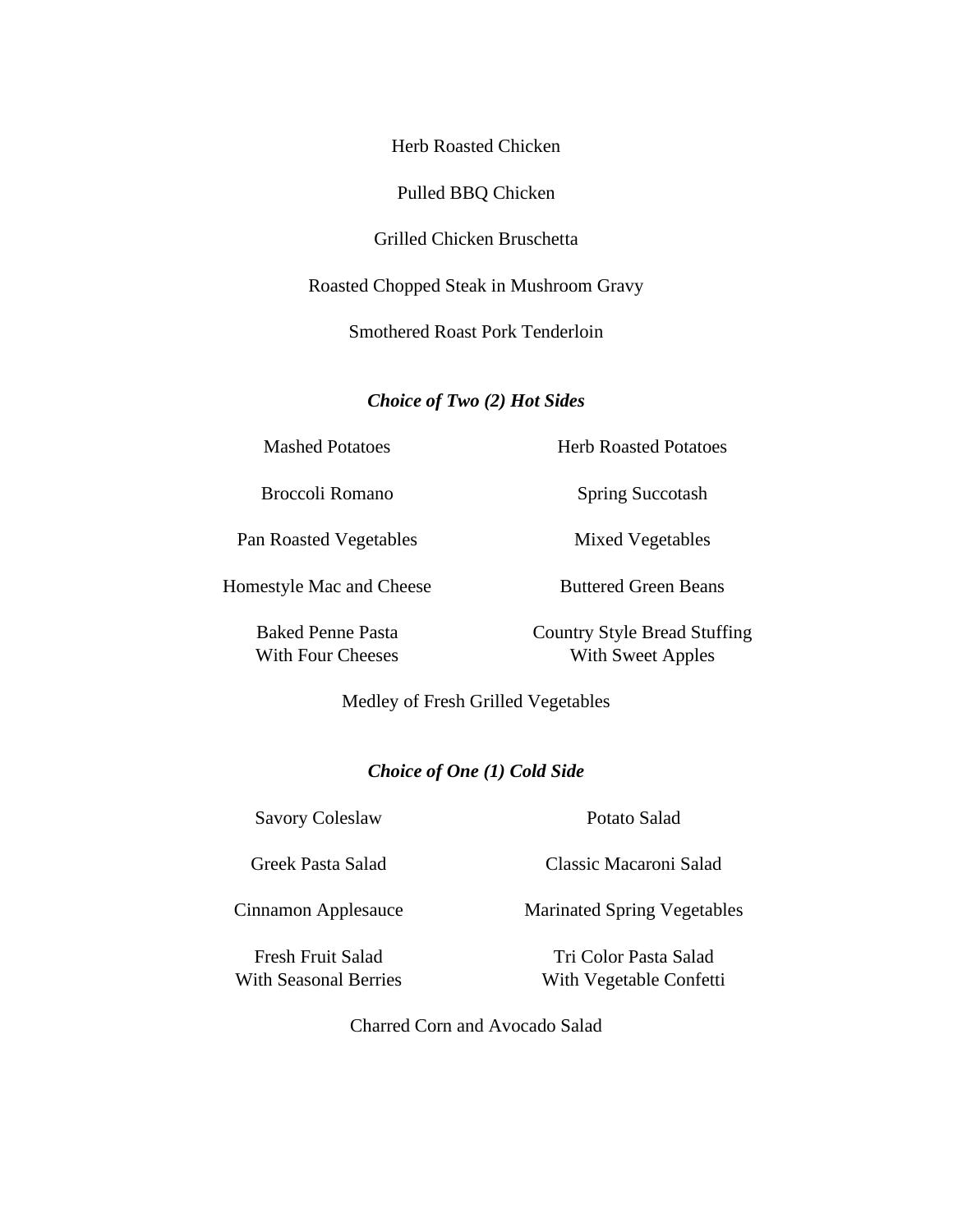Herb Roasted Chicken

Pulled BBQ Chicken

Grilled Chicken Bruschetta

Roasted Chopped Steak in Mushroom Gravy

Smothered Roast Pork Tenderloin

*Choice of Two (2) Hot Sides*

Mashed Potatoes

Broccoli Romano

Pan Roasted Vegetables

Homestyle Mac and Cheese

Baked Penne Pasta With Four Cheeses Herb Roasted Potatoes

Spring Succotash

Mixed Vegetables

Buttered Green Beans

Country Style Bread Stuffing With Sweet Apples

Medley of Fresh Grilled Vegetables

### *Choice of One (1) Cold Side*

Savory Coleslaw

Greek Pasta Salad

Cinnamon Applesauce

Fresh Fruit Salad With Seasonal Berries Potato Salad

Classic Macaroni Salad

Marinated Spring Vegetables

Tri Color Pasta Salad With Vegetable Confetti

Charred Corn and Avocado Salad